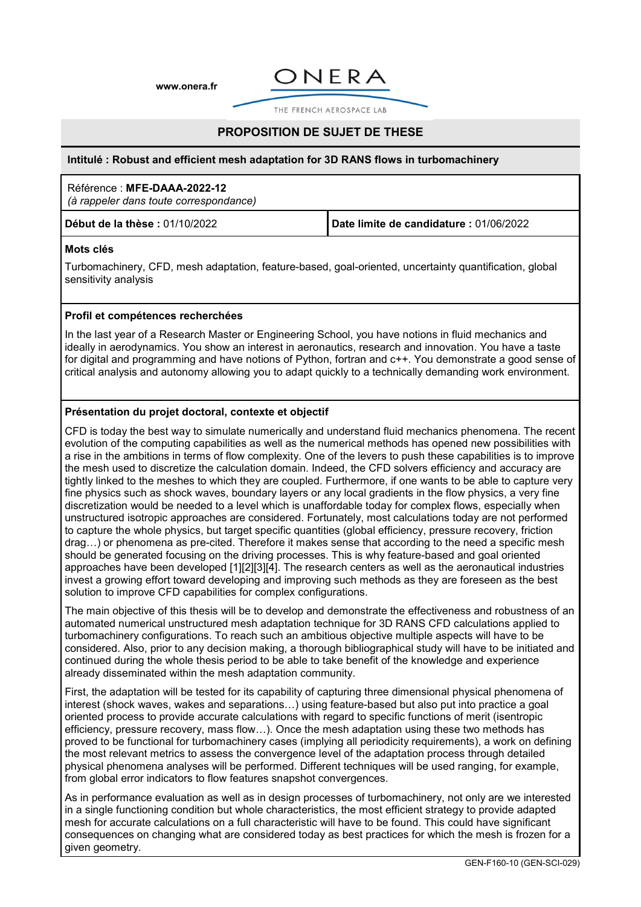**[www.onera.fr](http://www.onera.fr/)**



THE FRENCH AFROSPACE LAB

# **PROPOSITION DE SUJET DE THESE**

#### **Intitulé : Robust and efficient mesh adaptation for 3D RANS flows in turbomachinery**

## Référence : **MFE-DAAA-2022-12**

*(à rappeler dans toute correspondance)*

**Début de la thèse :** 01/10/2022 **Date limite de candidature :** 01/06/2022

#### **Mots clés**

Turbomachinery, CFD, mesh adaptation, feature-based, goal-oriented, uncertainty quantification, global sensitivity analysis

#### **Profil et compétences recherchées**

In the last year of a Research Master or Engineering School, you have notions in fluid mechanics and ideally in aerodynamics. You show an interest in aeronautics, research and innovation. You have a taste for digital and programming and have notions of Python, fortran and c++. You demonstrate a good sense of critical analysis and autonomy allowing you to adapt quickly to a technically demanding work environment.

#### **Présentation du projet doctoral, contexte et objectif**

CFD is today the best way to simulate numerically and understand fluid mechanics phenomena. The recent evolution of the computing capabilities as well as the numerical methods has opened new possibilities with a rise in the ambitions in terms of flow complexity. One of the levers to push these capabilities is to improve the mesh used to discretize the calculation domain. Indeed, the CFD solvers efficiency and accuracy are tightly linked to the meshes to which they are coupled. Furthermore, if one wants to be able to capture very fine physics such as shock waves, boundary layers or any local gradients in the flow physics, a very fine discretization would be needed to a level which is unaffordable today for complex flows, especially when unstructured isotropic approaches are considered. Fortunately, most calculations today are not performed to capture the whole physics, but target specific quantities (global efficiency, pressure recovery, friction drag…) or phenomena as pre-cited. Therefore it makes sense that according to the need a specific mesh should be generated focusing on the driving processes. This is why feature-based and goal oriented approaches have been developed [1][2][3][4]. The research centers as well as the aeronautical industries invest a growing effort toward developing and improving such methods as they are foreseen as the best solution to improve CFD capabilities for complex configurations.

The main objective of this thesis will be to develop and demonstrate the effectiveness and robustness of an automated numerical unstructured mesh adaptation technique for 3D RANS CFD calculations applied to turbomachinery configurations. To reach such an ambitious objective multiple aspects will have to be considered. Also, prior to any decision making, a thorough bibliographical study will have to be initiated and continued during the whole thesis period to be able to take benefit of the knowledge and experience already disseminated within the mesh adaptation community.

First, the adaptation will be tested for its capability of capturing three dimensional physical phenomena of interest (shock waves, wakes and separations…) using feature-based but also put into practice a goal oriented process to provide accurate calculations with regard to specific functions of merit (isentropic efficiency, pressure recovery, mass flow…). Once the mesh adaptation using these two methods has proved to be functional for turbomachinery cases (implying all periodicity requirements), a work on defining the most relevant metrics to assess the convergence level of the adaptation process through detailed physical phenomena analyses will be performed. Different techniques will be used ranging, for example, from global error indicators to flow features snapshot convergences.

As in performance evaluation as well as in design processes of turbomachinery, not only are we interested in a single functioning condition but whole characteristics, the most efficient strategy to provide adapted mesh for accurate calculations on a full characteristic will have to be found. This could have significant consequences on changing what are considered today as best practices for which the mesh is frozen for a given geometry.